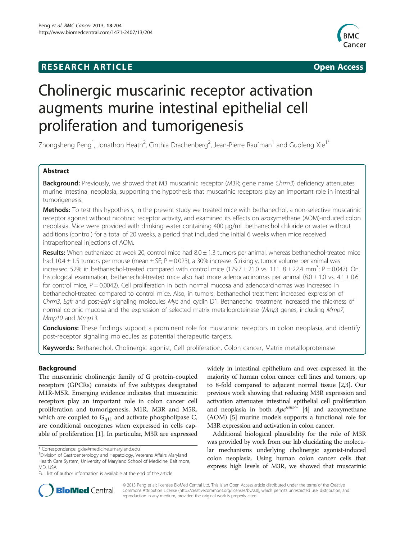# **RESEARCH ARTICLE Example 2014 CONSIDERING CONSIDERING CONSIDERING CONSIDERING CONSIDERING CONSIDERING CONSIDERING CONSIDERING CONSIDERING CONSIDERING CONSIDERING CONSIDERING CONSIDERING CONSIDERING CONSIDERING CONSIDE**



# Cholinergic muscarinic receptor activation augments murine intestinal epithelial cell proliferation and tumorigenesis

Zhongsheng Peng<sup>1</sup>, Jonathon Heath<sup>2</sup>, Cinthia Drachenberg<sup>2</sup>, Jean-Pierre Raufman<sup>1</sup> and Guofeng Xie<sup>1\*</sup>

# Abstract

Background: Previously, we showed that M3 muscarinic receptor (M3R; gene name Chrm3) deficiency attenuates murine intestinal neoplasia, supporting the hypothesis that muscarinic receptors play an important role in intestinal tumorigenesis.

Methods: To test this hypothesis, in the present study we treated mice with bethanechol, a non-selective muscarinic receptor agonist without nicotinic receptor activity, and examined its effects on azoxymethane (AOM)-induced colon neoplasia. Mice were provided with drinking water containing 400 μg/mL bethanechol chloride or water without additions (control) for a total of 20 weeks, a period that included the initial 6 weeks when mice received intraperitoneal injections of AOM.

Results: When euthanized at week 20, control mice had 8.0 ± 1.3 tumors per animal, whereas bethanechol-treated mice had 10.4  $\pm$  1.5 tumors per mouse (mean  $\pm$  SE; P = 0.023), a 30% increase. Strikingly, tumor volume per animal was increased 52% in bethanechol-treated compared with control mice  $(179.7 \pm 21.0 \text{ vs. } 111.8 \pm 22.4 \text{ mm}^3; P = 0.047)$ . On histological examination, bethenechol-treated mice also had more adenocarcinomas per animal  $(8.0 \pm 1.0 \text{ vs. } 4.1 \pm 0.6$ for control mice,  $P = 0.0042$ ). Cell proliferation in both normal mucosa and adenocarcinomas was increased in bethanechol-treated compared to control mice. Also, in tumors, bethanechol treatment increased expression of Chrm3, Egfr and post-Egfr signaling molecules Myc and cyclin D1. Bethanechol treatment increased the thickness of normal colonic mucosa and the expression of selected matrix metalloproteinase (Mmp) genes, including Mmp7, Mmp10 and Mmp13.

Conclusions: These findings support a prominent role for muscarinic receptors in colon neoplasia, and identify post-receptor signaling molecules as potential therapeutic targets.

Keywords: Bethanechol, Cholinergic agonist, Cell proliferation, Colon cancer, Matrix metalloproteinase

# **Background**

The muscarinic cholinergic family of G protein-coupled receptors (GPCRs) consists of five subtypes designated M1R-M5R. Emerging evidence indicates that muscarinic receptors play an important role in colon cancer cell proliferation and tumorigenesis. M1R, M3R and M5R, which are coupled to  $G<sub>q11</sub>$  and activate phospholipase C, are conditional oncogenes when expressed in cells capable of proliferation [[1\]](#page-7-0). In particular, M3R are expressed

widely in intestinal epithelium and over-expressed in the majority of human colon cancer cell lines and tumors, up to 8-fold compared to adjacent normal tissue [\[2,3\]](#page-7-0). Our previous work showing that reducing M3R expression and activation attenuates intestinal epithelial cell proliferation and neoplasia in both  $Apc^{min/\frac{1}{2}}$  [[4\]](#page-7-0) and azoxymethane (AOM) [\[5\]](#page-7-0) murine models supports a functional role for M3R expression and activation in colon cancer.

Additional biological plausibility for the role of M3R was provided by work from our lab elucidating the molecular mechanisms underlying cholinergic agonist-induced colon neoplasia. Using human colon cancer cells that express high levels of M3R, we showed that muscarinic



© 2013 Peng et al.; licensee BioMed Central Ltd. This is an Open Access article distributed under the terms of the Creative Commons Attribution License [\(http://creativecommons.org/licenses/by/2.0\)](http://creativecommons.org/licenses/by/2.0), which permits unrestricted use, distribution, and reproduction in any medium, provided the original work is properly cited.

<sup>\*</sup> Correspondence: [gxie@medicine.umaryland.edu](mailto:gxie@medicine.umaryland.edu) <sup>1</sup>

Division of Gastroenterology and Hepatology, Veterans Affairs Maryland Health Care System, University of Maryland School of Medicine, Baltimore, MD, USA

Full list of author information is available at the end of the article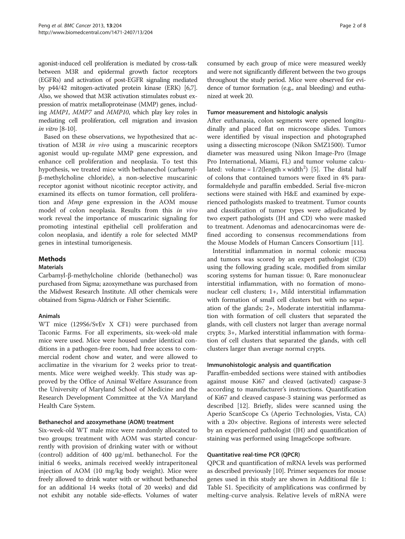<span id="page-1-0"></span>agonist-induced cell proliferation is mediated by cross-talk between M3R and epidermal growth factor receptors (EGFRs) and activation of post-EGFR signaling mediated by p44/42 mitogen-activated protein kinase (ERK) [\[6,7](#page-7-0)]. Also, we showed that M3R activation stimulates robust expression of matrix metalloproteinase (MMP) genes, including MMP1, MMP7 and MMP10, which play key roles in mediating cell proliferation, cell migration and invasion in vitro [\[8](#page-7-0)-[10](#page-7-0)].

Based on these observations, we hypothesized that activation of M3R in vivo using a muscarinic receptors agonist would up-regulate MMP gene expression, and enhance cell proliferation and neoplasia. To test this hypothesis, we treated mice with bethanechol (carbamylβ-methylcholine chloride), a non-selective muscarinic receptor agonist without nicotinic receptor activity, and examined its effects on tumor formation, cell proliferation and Mmp gene expression in the AOM mouse model of colon neoplasia. Results from this in vivo work reveal the importance of muscarinic signaling for promoting intestinal epithelial cell proliferation and colon neoplasia, and identify a role for selected MMP genes in intestinal tumorigenesis.

# Methods

# **Materials**

Carbamyl-β-methylcholine chloride (bethanechol) was purchased from Sigma; azoxymethane was purchased from the Midwest Research Institute. All other chemicals were obtained from Sigma-Aldrich or Fisher Scientific.

# Animals

WT mice (129S6/SvEv X CF1) were purchased from Taconic Farms. For all experiments, six-week-old male mice were used. Mice were housed under identical conditions in a pathogen-free room, had free access to commercial rodent chow and water, and were allowed to acclimatize in the vivarium for 2 weeks prior to treatments. Mice were weighed weekly. This study was approved by the Office of Animal Welfare Assurance from the University of Maryland School of Medicine and the Research Development Committee at the VA Maryland Health Care System.

# Bethanechol and azoxymethane (AOM) treatment

Six-week-old WT male mice were randomly allocated to two groups; treatment with AOM was started concurrently with provision of drinking water with or without (control) addition of 400 μg/mL bethanechol. For the initial 6 weeks, animals received weekly intraperitoneal injection of AOM (10 mg/kg body weight). Mice were freely allowed to drink water with or without bethanechol for an additional 14 weeks (total of 20 weeks) and did not exhibit any notable side-effects. Volumes of water consumed by each group of mice were measured weekly and were not significantly different between the two groups throughout the study period. Mice were observed for evidence of tumor formation (e.g., anal bleeding) and euthanized at week 20.

# Tumor measurement and histologic analysis

After euthanasia, colon segments were opened longitudinally and placed flat on microscope slides. Tumors were identified by visual inspection and photographed using a dissecting microscope (Nikon SMZ1500). Tumor diameter was measured using Nikon Image-Pro (Image Pro International, Miami, FL) and tumor volume calculated: volume =  $1/2$ (length × width<sup>2</sup>) [[5\]](#page-7-0). The distal half of colons that contained tumors were fixed in 4% paraformaldehyde and paraffin embedded. Serial five-micron sections were stained with H&E and examined by experienced pathologists masked to treatment. Tumor counts and classification of tumor types were adjudicated by two expert pathologists (JH and CD) who were masked to treatment. Adenomas and adenocarcinomas were defined according to consensus recommendations from the Mouse Models of Human Cancers Consortium [[11\]](#page-7-0).

Interstitial inflammation in normal colonic mucosa and tumors was scored by an expert pathologist (CD) using the following grading scale, modified from similar scoring systems for human tissue: 0, Rare mononuclear interstitial inflammation, with no formation of mononuclear cell clusters; 1+, Mild interstitial inflammation with formation of small cell clusters but with no separation of the glands; 2+, Moderate interstitial inflammation with formation of cell clusters that separated the glands, with cell clusters not larger than average normal crypts; 3+, Marked interstitial inflammation with formation of cell clusters that separated the glands, with cell clusters larger than average normal crypts.

# Immunohistologic analysis and quantification

Paraffin-embedded sections were stained with antibodies against mouse Ki67 and cleaved (activated) caspase-3 according to manufacturer's instructions. Quantification of Ki67 and cleaved caspase-3 staining was performed as described [\[12](#page-7-0)]. Briefly, slides were scanned using the Aperio ScanScope Cs (Aperio Technologies, Vista, CA) with a 20× objective. Regions of interests were selected by an experienced pathologist (JH) and quantification of staining was performed using ImageScope software.

# Quantitative real-time PCR (QPCR)

QPCR and quantification of mRNA levels was performed as described previously [[10\]](#page-7-0). Primer sequences for mouse genes used in this study are shown in Additional file [1](#page-6-0): Table S1. Specificity of amplifications was confirmed by melting-curve analysis. Relative levels of mRNA were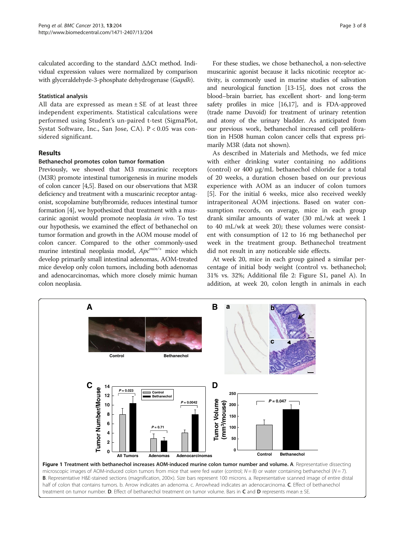<span id="page-2-0"></span>calculated according to the standard ΔΔCt method. Individual expression values were normalized by comparison with glyceraldehyde-3-phosphate dehydrogenase (Gapdh).

# Statistical analysis

All data are expressed as mean  $\pm$  SE of at least three independent experiments. Statistical calculations were performed using Student's un-paired t-test (SigmaPlot, Systat Software, Inc., San Jose, CA). P < 0.05 was considered significant.

# Results

# Bethanechol promotes colon tumor formation

Previously, we showed that M3 muscarinic receptors (M3R) promote intestinal tumorigenesis in murine models of colon cancer [\[4,5\]](#page-7-0). Based on our observations that M3R deficiency and treatment with a muscarinic receptor antagonist, scopolamine butylbromide, reduces intestinal tumor formation [[4\]](#page-7-0), we hypothesized that treatment with a muscarinic agonist would promote neoplasia in vivo. To test our hypothesis, we examined the effect of bethanechol on tumor formation and growth in the AOM mouse model of colon cancer. Compared to the other commonly-used murine intestinal neoplasia model,  $Apc^{min/+}$  mice which develop primarily small intestinal adenomas, AOM-treated mice develop only colon tumors, including both adenomas and adenocarcinomas, which more closely mimic human colon neoplasia.

For these studies, we chose bethanechol, a non-selective muscarinic agonist because it lacks nicotinic receptor activity, is commonly used in murine studies of salivation and neurological function [\[13-15\]](#page-7-0), does not cross the blood–brain barrier, has excellent short- and long-term safety profiles in mice [[16,17\]](#page-7-0), and is FDA-approved (trade name Duvoid) for treatment of urinary retention and atony of the urinary bladder. As anticipated from our previous work, bethanechol increased cell proliferation in H508 human colon cancer cells that express primarily M3R (data not shown).

As described in [Materials](#page-1-0) and [Methods](#page-1-0), we fed mice with either drinking water containing no additions (control) or 400 μg/mL bethanechol chloride for a total of 20 weeks, a duration chosen based on our previous experience with AOM as an inducer of colon tumors [[5\]](#page-7-0). For the initial 6 weeks, mice also received weekly intraperitoneal AOM injections. Based on water consumption records, on average, mice in each group drank similar amounts of water (30 mL/wk at week 1 to 40 mL/wk at week 20); these volumes were consistent with consumption of 12 to 16 mg bethanechol per week in the treatment group. Bethanechol treatment did not result in any noticeable side effects.

At week 20, mice in each group gained a similar percentage of initial body weight (control vs. bethanechol; 31% vs. 32%; Additional file [2](#page-6-0): Figure S1, panel A). In addition, at week 20, colon length in animals in each

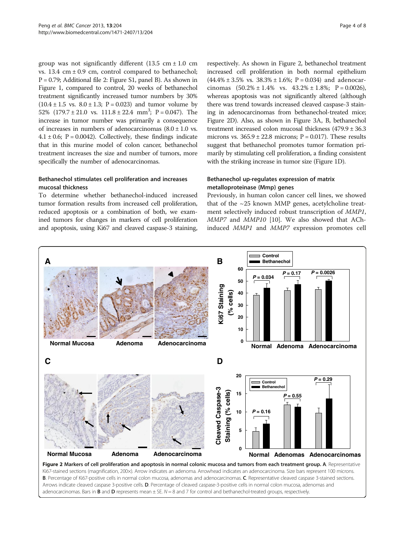group was not significantly different  $(13.5 \text{ cm} \pm 1.0 \text{ cm})$ vs.  $13.4 \text{ cm} \pm 0.9 \text{ cm}$ , control compared to bethanechol; P = 0.79; Additional file [2](#page-6-0): Figure S1, panel B). As shown in Figure [1,](#page-2-0) compared to control, 20 weeks of bethanechol treatment significantly increased tumor numbers by 30%  $(10.4 \pm 1.5 \text{ vs. } 8.0 \pm 1.3; \text{ P} = 0.023)$  and tumor volume by 52%  $(179.7 \pm 21.0 \text{ vs. } 111.8 \pm 22.4 \text{ mm}^3; \text{ P} = 0.047)$ . The increase in tumor number was primarily a consequence of increases in numbers of adenocarcinomas  $(8.0 \pm 1.0 \text{ vs.})$  $4.1 \pm 0.6$ ; P = 0.0042). Collectively, these findings indicate that in this murine model of colon cancer, bethanechol treatment increases the size and number of tumors, more specifically the number of adenocarcinomas.

# Bethanechol stimulates cell proliferation and increases mucosal thickness

To determine whether bethanechol-induced increased tumor formation results from increased cell proliferation, reduced apoptosis or a combination of both, we examined tumors for changes in markers of cell proliferation and apoptosis, using Ki67 and cleaved caspase-3 staining, respectively. As shown in Figure 2, bethanechol treatment increased cell proliferation in both normal epithelium  $(44.4\% \pm 3.5\% \text{ vs. } 38.3\% \pm 1.6\%; \text{ P} = 0.034) \text{ and a}$ denocarcinomas  $(50.2\% \pm 1.4\% \text{ vs. } 43.2\% \pm 1.8\%; \text{ P} = 0.0026)$ , whereas apoptosis was not significantly altered (although there was trend towards increased cleaved caspase-3 staining in adenocarcinomas from bethanechol-treated mice; Figure 2D). Also, as shown in Figure [3A](#page-4-0), B, bethanechol treatment increased colon mucosal thickness (479.9 ± 36.3 microns vs.  $365.9 \pm 22.8$  microns; P = 0.017). These results suggest that bethanechol promotes tumor formation primarily by stimulating cell proliferation, a finding consistent with the striking increase in tumor size (Figure [1D](#page-2-0)).

# Bethanechol up-regulates expression of matrix metalloproteinase (Mmp) genes

Previously, in human colon cancer cell lines, we showed that of the  $\sim$ 25 known MMP genes, acetylcholine treatment selectively induced robust transcription of MMP1, MMP7 and MMP10 [[10](#page-7-0)]. We also showed that AChinduced MMP1 and MMP7 expression promotes cell



B. Percentage of Ki67-positive cells in normal colon mucosa, adenomas and adenocarcinomas. C. Representative cleaved caspase 3-stained sections. Arrows indicate cleaved caspase 3-positive cells. D. Percentage of cleaved caspase-3-positive cells in normal colon mucosa, adenomas and adenocarcinomas. Bars in **B** and **D** represents mean  $\pm$  SE.  $N = 8$  and 7 for control and bethanechol-treated groups, respectively.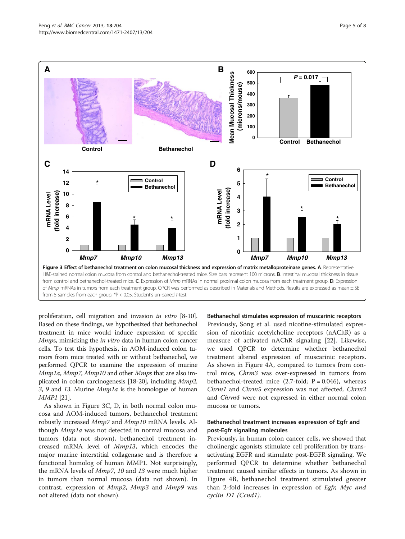<span id="page-4-0"></span>

proliferation, cell migration and invasion in vitro [[8](#page-7-0)-[10](#page-7-0)]. Based on these findings, we hypothesized that bethanechol treatment in mice would induce expression of specific Mmps, mimicking the in vitro data in human colon cancer cells. To test this hypothesis, in AOM-induced colon tumors from mice treated with or without bethanechol, we performed QPCR to examine the expression of murine Mmp1a, Mmp7, Mmp10 and other Mmps that are also implicated in colon carcinogenesis [[18](#page-7-0)-[20](#page-7-0)], including Mmp2, 3, 9 and 13. Murine *Mmp1a* is the homologue of human MMP1 [\[21\]](#page-7-0).

As shown in Figure 3C, D, in both normal colon mucosa and AOM-induced tumors, bethanechol treatment robustly increased *Mmp7* and *Mmp10* mRNA levels. Although *Mmp1a* was not detected in normal mucosa and tumors (data not shown), bethanechol treatment increased mRNA level of Mmp13, which encodes the major murine interstitial collagenase and is therefore a functional homolog of human MMP1. Not surprisingly, the mRNA levels of Mmp7, 10 and 13 were much higher in tumors than normal mucosa (data not shown). In contrast, expression of Mmp2, Mmp3 and Mmp9 was not altered (data not shown).

### Bethanechol stimulates expression of muscarinic receptors

Previously, Song et al. used nicotine-stimulated expression of nicotinic acetylcholine receptors (nAChR) as a measure of activated nAChR signaling [[22\]](#page-7-0). Likewise, we used QPCR to determine whether bethanechol treatment altered expression of muscarinic receptors. As shown in Figure [4A](#page-5-0), compared to tumors from control mice, Chrm3 was over-expressed in tumors from bethanechol-treated mice  $(2.7-fold; P = 0.046)$ , whereas Chrm1 and Chrm5 expression was not affected. Chrm2 and *Chrm4* were not expressed in either normal colon mucosa or tumors.

# Bethanechol treatment increases expression of Egfr and post-Egfr signaling molecules

Previously, in human colon cancer cells, we showed that cholinergic agonists stimulate cell proliferation by transactivating EGFR and stimulate post-EGFR signaling. We performed QPCR to determine whether bethanechol treatment caused similar effects in tumors. As shown in Figure [4B](#page-5-0), bethanechol treatment stimulated greater than 2-fold increases in expression of Egfr, Myc and cyclin D1 (Ccnd1).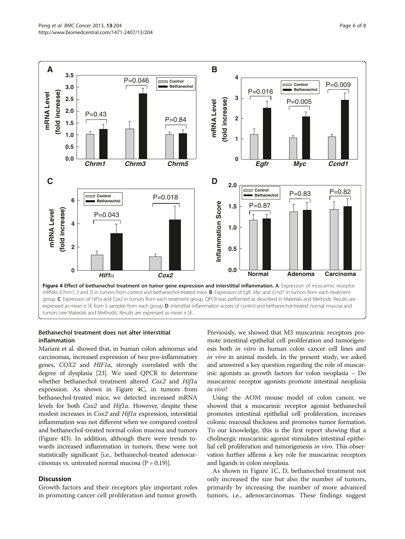<span id="page-5-0"></span>

# Bethanechol treatment does not alter interstitial inflammation

Mariani et al. showed that, in human colon adenomas and carcinomas, increased expression of two pro-inflammatory genes, COX2 and HIF1α, strongly correlated with the degree of dysplasia [\[23\]](#page-7-0). We used QPCR to determine whether bethanechol treatment altered Cox2 and Hif1α expression. As shown in Figure 4C, in tumors from bethanechol-treated mice, we detected increased mRNA levels for both Cox2 and Hif1α. However, despite these modest increases in  $Cox2$  and  $Hif1\alpha$  expression, interstitial inflammation was not different when we compared control and bethanechol-treated normal colon mucosa and tumors (Figure 4D). In addition, although there were trends towards increased inflammation in tumors, these were not statistically significant [i.e., bethanechol-treated adenocarcinomas vs. untreated normal mucosa  $(P = 0.19)$ ].

# **Discussion**

Growth factors and their receptors play important roles in promoting cancer cell proliferation and tumor growth.

Previously, we showed that M3 muscarinic receptors promote intestinal epithelial cell proliferation and tumorigenesis both in vitro in human colon cancer cell lines and in vivo in animal models. In the present study, we asked and answered a key question regarding the role of muscarinic agonists as growth factors for colon neoplasia – Do muscarinic receptor agonists promote intestinal neoplasia in vivo?

Using the AOM mouse model of colon cancer, we showed that a muscarinic receptor agonist bethanechol promotes intestinal epithelial cell proliferation, increases colonic mucosal thickness and promotes tumor formation. To our knowledge, this is the first report showing that a cholinergic muscarinic agonist stimulates intestinal epithelial cell proliferation and tumorigenesis in vivo. This observation further affirms a key role for muscarinic receptors and ligands in colon neoplasia.

As shown in Figure [1C](#page-2-0), D, bethanechol treatment not only increased the size but also the number of tumors, primarily by increasing the number of more advanced tumors, i.e., adenocarcinomas. These findings suggest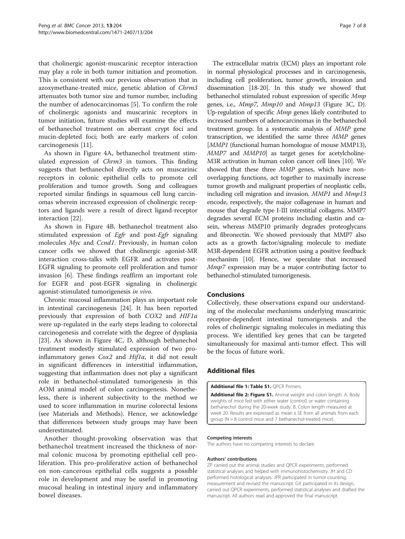<span id="page-6-0"></span>that cholinergic agonist-muscarinic receptor interaction may play a role in both tumor initiation and promotion. This is consistent with our previous observation that in azoxymethane-treated mice, genetic ablation of Chrm3 attenuates both tumor size and tumor number, including the number of adenocarcinomas [[5\]](#page-7-0). To confirm the role of cholinergic agonists and muscarinic receptors in tumor initiation, future studies will examine the effects of bethanechol treatment on aberrant crypt foci and mucin-depleted foci; both are early markers of colon carcinogenesis [[11\]](#page-7-0).

As shown in Figure [4](#page-5-0)A, bethanechol treatment stimulated expression of *Chrm3* in tumors. This finding suggests that bethanechol directly acts on muscarinic receptors in colonic epithelial cells to promote cell proliferation and tumor growth. Song and colleagues reported similar findings in squamous cell lung carcinomas wherein increased expression of cholinergic receptors and ligands were a result of direct ligand-receptor interaction [[22\]](#page-7-0).

As shown in Figure [4](#page-5-0)B, bethanechol treatment also stimulated expression of Egfr and post-Egfr signaling molecules Myc and Ccnd1. Previously, in human colon cancer cells we showed that cholinergic agonist-MR interaction cross-talks with EGFR and activates post-EGFR signaling to promote cell proliferation and tumor invasion [\[6\]](#page-7-0). These findings reaffirm an important role for EGFR and post-EGFR signaling in cholinergic agonist-stimulated tumorigenesis in vivo.

Chronic mucosal inflammation plays an important role in intestinal carcinogenesis [\[24\]](#page-7-0). It has been reported previously that expression of both COX2 and HIF1α were up-regulated in the early steps leading to colorectal carcinogenesis and correlate with the degree of dysplasia [[23\]](#page-7-0). As shown in Figure [4](#page-5-0)C, D, although bethanechol treatment modestly stimulated expression of two proinflammatory genes  $Cox2$  and  $Hif1\alpha$ , it did not result in significant differences in interstitial inflammation, suggesting that inflammation does not play a significant role in bethanechol-stimulated tumorigenesis in this AOM animal model of colon carcinogenesis. Nonetheless, there is inherent subjectivity to the method we used to score inflammation in murine colorectal lesions (see [Materials](#page-1-0) and [Methods](#page-1-0)). Hence, we acknowledge that differences between study groups may have been underestimated.

Another thought-provoking observation was that bethanechol treatment increased the thickness of normal colonic mucosa by promoting epithelial cell proliferation. This pro-proliferative action of bethanechol on non-cancerous epithelial cells suggests a possible role in development and may be useful in promoting mucosal healing in intestinal injury and inflammatory bowel diseases.

The extracellular matrix (ECM) plays an important role in normal physiological processes and in carcinogenesis, including cell proliferation, tumor growth, invasion and dissemination [\[18-20\]](#page-7-0). In this study we showed that bethanechol stimulated robust expression of specific Mmp genes, i.e., *Mmp7*, *Mmp10* and *Mmp13* (Figure [3C](#page-4-0), D). Up-regulation of specific *Mmp* genes likely contributed to increased numbers of adenocarcinomas in the bethanechol treatment group. In a systematic analysis of MMP gene transcription, we identified the same three MMP genes [MMP1 (functional human homologue of mouse MMP13), MMP7 and MMP10] as target genes for acetylcholine-M3R activation in human colon cancer cell lines [[10](#page-7-0)]. We showed that these three MMP genes, which have nonoverlapping functions, act together to maximally increase tumor growth and malignant properties of neoplastic cells, including cell migration and invasion. MMP1 and Mmp13 encode, respectively, the major collagenase in human and mouse that degrade type I-III interstitial collagens. MMP7 degrades several ECM proteins including elastin and casein, whereas MMP10 primarily degrades proteoglycans and fibronectin. We showed previously that MMP7 also acts as a growth factor/signaling molecule to mediate M3R-dependent EGFR activation using a positive feedback mechanism [\[10\]](#page-7-0). Hence, we speculate that increased Mmp7 expression may be a major contributing factor to bethanechol-stimulated tumorigenesis.

# Conclusions

Collectively, these observations expand our understanding of the molecular mechanisms underlying muscarinic receptor-dependent intestinal tumorigenesis and the roles of cholinergic signaling molecules in mediating this process. We identified key genes that can be targeted simultaneously for maximal anti-tumor effect. This will be the focus of future work.

# Additional files

[Additional file 1: Table S1.](http://www.biomedcentral.com/content/supplementary/1471-2407-13-204-S1.pdf) QPCR Primers.

[Additional file 2: Figure S1.](http://www.biomedcentral.com/content/supplementary/1471-2407-13-204-S2.ppt) Animal weight and colon length. A. Body weights of mice fed with either water (control) or water containing bethanechol during the 20-week study. B. Colon length measured at week 20. Results are expressed as mean ± SE from all animals from each group (N = 8 control mice and 7 bethanechol-treated mice).

#### Competing interests

The authors have no competing interests to declare.

#### Authors' contributions

ZP carried out the animal studies and QPCR experiments, performed statistical analyses and helped with immunohistochemistry. JH and CD performed histological analyses. JPR participated in tumor counting, measurement and revised the manuscript. GX participated in its design, carried out QPCR experiments, performed statistical analyses and drafted the manuscript. All authors read and approved the final manuscript.